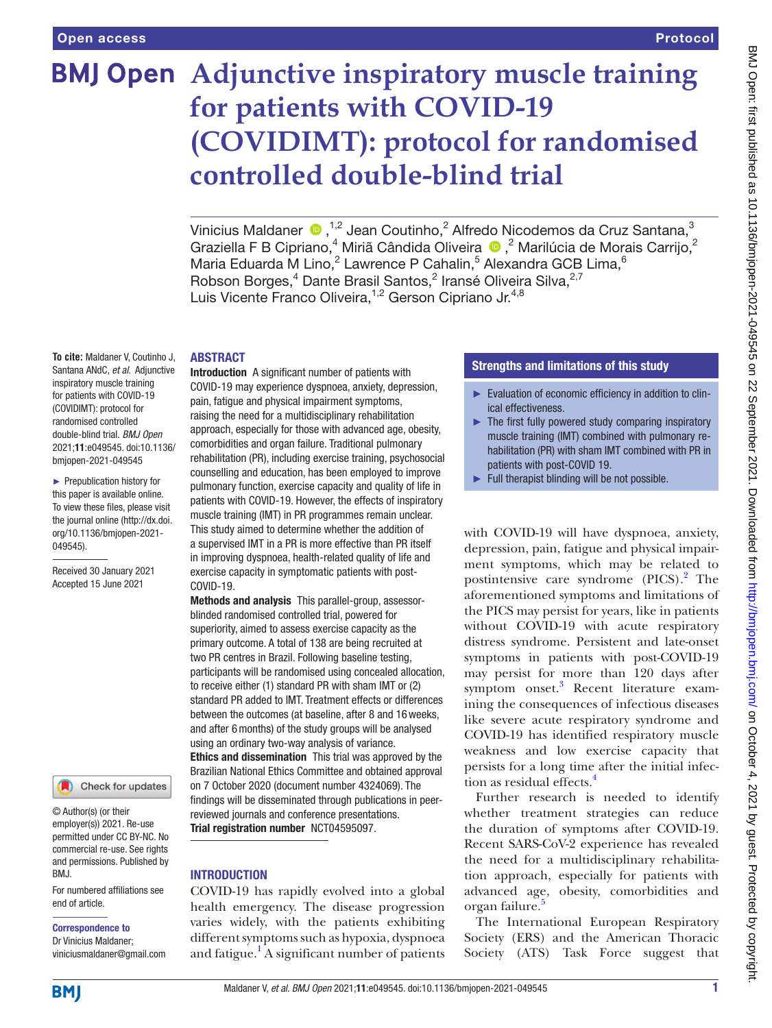# **BMJ Open** Adjunctive inspiratory muscle training **for patients with COVID-19 (COVIDIMT): protocol for randomised controlled double-blind trial**

Vinicius Maldaner  $\bigcirc$ , <sup>1,2</sup> Jean Coutinho,<sup>2</sup> Alfredo Nicodemos da Cruz Santana,<sup>3</sup> Graziella F B Cipriano,<sup>4</sup> Miriã Cândida Oliveira  $\bigcirc$ ,<sup>2</sup> Marilúcia de Morais Carrijo,<sup>2</sup> Maria Eduarda M Lino,<sup>2</sup> Lawrence P Cahalin,<sup>5</sup> Alexandra GCB Lima,<sup>6</sup> Robson Borges,<sup>4</sup> Dante Brasil Santos,<sup>2</sup> Iransé Oliveira Silva,<sup>2,7</sup> Luis Vicente Franco Oliveira,<sup>1,2</sup> Gerson Cipriano Jr.<sup>4,8</sup>

#### ABSTRACT

**To cite:** Maldaner V, Coutinho J, Santana ANdC, *et al*. Adjunctive inspiratory muscle training for patients with COVID-19 (COVIDIMT): protocol for randomised controlled double-blind trial. *BMJ Open* 2021;11:e049545. doi:10.1136/ bmjopen-2021-049545

► Prepublication history for this paper is available online. To view these files, please visit the journal online [\(http://dx.doi.](http://dx.doi.org/10.1136/bmjopen-2021-049545) [org/10.1136/bmjopen-2021-](http://dx.doi.org/10.1136/bmjopen-2021-049545) [049545\)](http://dx.doi.org/10.1136/bmjopen-2021-049545).

Received 30 January 2021 Accepted 15 June 2021



© Author(s) (or their employer(s)) 2021. Re-use permitted under CC BY-NC. No commercial re-use. See rights and permissions. Published by BMJ.

For numbered affiliations see end of article.

#### Correspondence to

Dr Vinicius Maldaner; viniciusmaldaner@gmail.com Introduction A significant number of patients with COVID-19 may experience dyspnoea, anxiety, depression, pain, fatigue and physical impairment symptoms, raising the need for a multidisciplinary rehabilitation approach, especially for those with advanced age, obesity, comorbidities and organ failure. Traditional pulmonary rehabilitation (PR), including exercise training, psychosocial counselling and education, has been employed to improve pulmonary function, exercise capacity and quality of life in patients with COVID-19. However, the effects of inspiratory muscle training (IMT) in PR programmes remain unclear. This study aimed to determine whether the addition of a supervised IMT in a PR is more effective than PR itself in improving dyspnoea, health-related quality of life and exercise capacity in symptomatic patients with post-COVID-19.

Methods and analysis This parallel-group, assessorblinded randomised controlled trial, powered for superiority, aimed to assess exercise capacity as the primary outcome. A total of 138 are being recruited at two PR centres in Brazil. Following baseline testing, participants will be randomised using concealed allocation, to receive either (1) standard PR with sham IMT or (2) standard PR added to IMT. Treatment effects or differences between the outcomes (at baseline, after 8 and 16weeks, and after 6months) of the study groups will be analysed using an ordinary two-way analysis of variance. Ethics and dissemination This trial was approved by the Brazilian National Ethics Committee and obtained approval on 7 October 2020 (document number 4324069). The findings will be disseminated through publications in peerreviewed journals and conference presentations. Trial registration number <NCT04595097>.

# **INTRODUCTION**

COVID-19 has rapidly evolved into a global health emergency. The disease progression varies widely, with the patients exhibiting different symptoms such as hypoxia, dyspnoea and fatigue.<sup>1</sup> A significant number of patients

### Strengths and limitations of this study

- ► Evaluation of economic efficiency in addition to clinical effectiveness.
- $\blacktriangleright$  The first fully powered study comparing inspiratory muscle training (IMT) combined with pulmonary rehabilitation (PR) with sham IMT combined with PR in patients with post-COVID 19.
- Full therapist blinding will be not possible.

with COVID-19 will have dyspnoea, anxiety, depression, pain, fatigue and physical impairment symptoms, which may be related to postintensive care syndrome (PICS).<sup>[2](#page-5-1)</sup> The aforementioned symptoms and limitations of the PICS may persist for years, like in patients without COVID-19 with acute respiratory distress syndrome. Persistent and late-onset symptoms in patients with post-COVID-19 may persist for more than 120 days after symptom onset.<sup>[3](#page-5-2)</sup> Recent literature examining the consequences of infectious diseases like severe acute respiratory syndrome and COVID-19 has identified respiratory muscle weakness and low exercise capacity that persists for a long time after the initial infection as residual effects.<sup>4</sup>

Further research is needed to identify whether treatment strategies can reduce the duration of symptoms after COVID-19. Recent SARS-CoV-2 experience has revealed the need for a multidisciplinary rehabilitation approach, especially for patients with advanced age, obesity, comorbidities and organ failure.<sup>[5](#page-5-4)</sup>

The International European Respiratory Society (ERS) and the American Thoracic Society (ATS) Task Force suggest that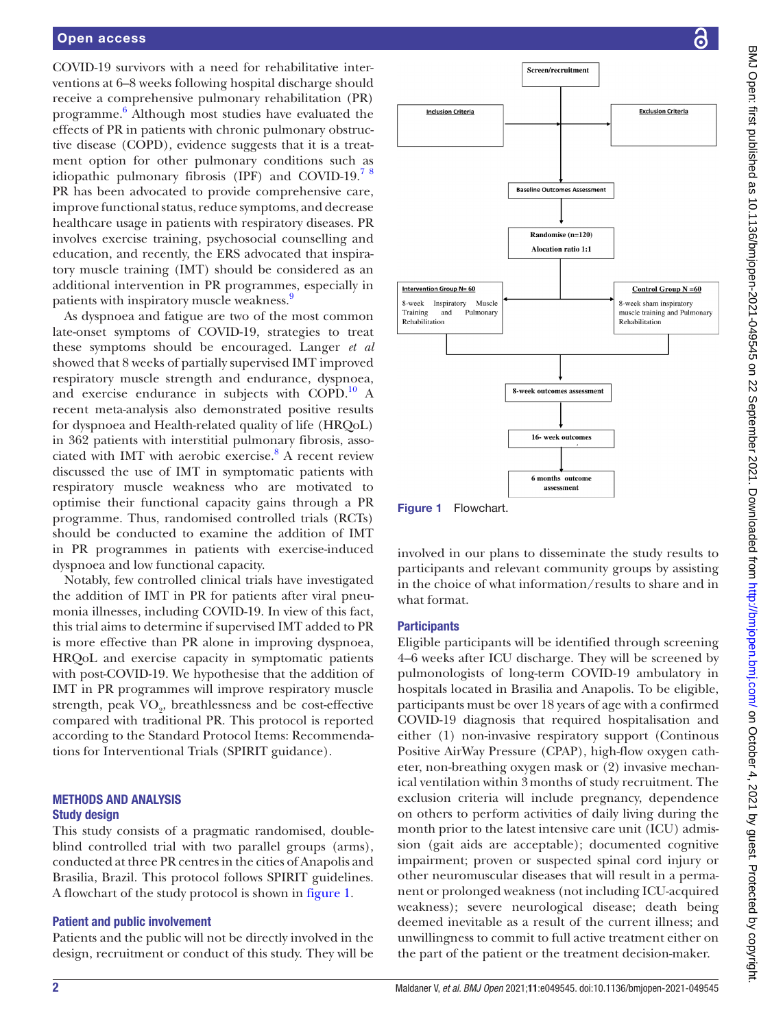#### Open access

COVID-19 survivors with a need for rehabilitative interventions at 6–8 weeks following hospital discharge should receive a comprehensive pulmonary rehabilitation (PR) programme. [6](#page-5-5) Although most studies have evaluated the effects of PR in patients with chronic pulmonary obstructive disease (COPD), evidence suggests that it is a treatment option for other pulmonary conditions such as idiopathic pulmonary fibrosis (IPF) and COVID-19.<sup>7</sup> <sup>8</sup> PR has been advocated to provide comprehensive care, improve functional status, reduce symptoms, and decrease healthcare usage in patients with respiratory diseases. PR involves exercise training, psychosocial counselling and education, and recently, the ERS advocated that inspiratory muscle training (IMT) should be considered as an additional intervention in PR programmes, especially in patients with inspiratory muscle weakness.<sup>[9](#page-6-1)</sup>

As dyspnoea and fatigue are two of the most common late-onset symptoms of COVID-19, strategies to treat these symptoms should be encouraged. Langer *et al* showed that 8 weeks of partially supervised IMT improved respiratory muscle strength and endurance, dyspnoea, and exercise endurance in subjects with COPD. $^{10}$  A recent meta-analysis also demonstrated positive results for dyspnoea and Health-related quality of life (HRQoL) in 362 patients with interstitial pulmonary fibrosis, asso-ciated with IMT with aerobic exercise.<sup>[8](#page-6-3)</sup> A recent review discussed the use of IMT in symptomatic patients with respiratory muscle weakness who are motivated to optimise their functional capacity gains through a PR programme. Thus, randomised controlled trials (RCTs) should be conducted to examine the addition of IMT in PR programmes in patients with exercise-induced dyspnoea and low functional capacity.

Notably, few controlled clinical trials have investigated the addition of IMT in PR for patients after viral pneumonia illnesses, including COVID-19. In view of this fact, this trial aims to determine if supervised IMT added to PR is more effective than PR alone in improving dyspnoea, HRQoL and exercise capacity in symptomatic patients with post-COVID-19. We hypothesise that the addition of IMT in PR programmes will improve respiratory muscle strength, peak  $\rm VO_{2}$ , breathlessness and be cost-effective compared with traditional PR. This protocol is reported according to the Standard Protocol Items: Recommendations for Interventional Trials (SPIRIT guidance).

#### METHODS AND ANALYSIS Study design

This study consists of a pragmatic randomised, doubleblind controlled trial with two parallel groups (arms), conducted at three PR centres in the cities of Anapolis and Brasilia, Brazil. This protocol follows SPIRIT guidelines. A flowchart of the study protocol is shown in [figure](#page-1-0) 1.

#### Patient and public involvement

Patients and the public will not be directly involved in the design, recruitment or conduct of this study. They will be



<span id="page-1-0"></span>Figure 1 Flowchart.

involved in our plans to disseminate the study results to participants and relevant community groups by assisting in the choice of what information/results to share and in what format.

#### **Participants**

Eligible participants will be identified through screening 4–6 weeks after ICU discharge. They will be screened by pulmonologists of long-term COVID-19 ambulatory in hospitals located in Brasilia and Anapolis. To be eligible, participants must be over 18 years of age with a confirmed COVID-19 diagnosis that required hospitalisation and either (1) non-invasive respiratory support (Continous Positive AirWay Pressure (CPAP), high-flow oxygen catheter, non-breathing oxygen mask or (2) invasive mechanical ventilation within 3months of study recruitment. The exclusion criteria will include pregnancy, dependence on others to perform activities of daily living during the month prior to the latest intensive care unit (ICU) admission (gait aids are acceptable); documented cognitive impairment; proven or suspected spinal cord injury or other neuromuscular diseases that will result in a permanent or prolonged weakness (not including ICU-acquired weakness); severe neurological disease; death being deemed inevitable as a result of the current illness; and unwillingness to commit to full active treatment either on the part of the patient or the treatment decision-maker.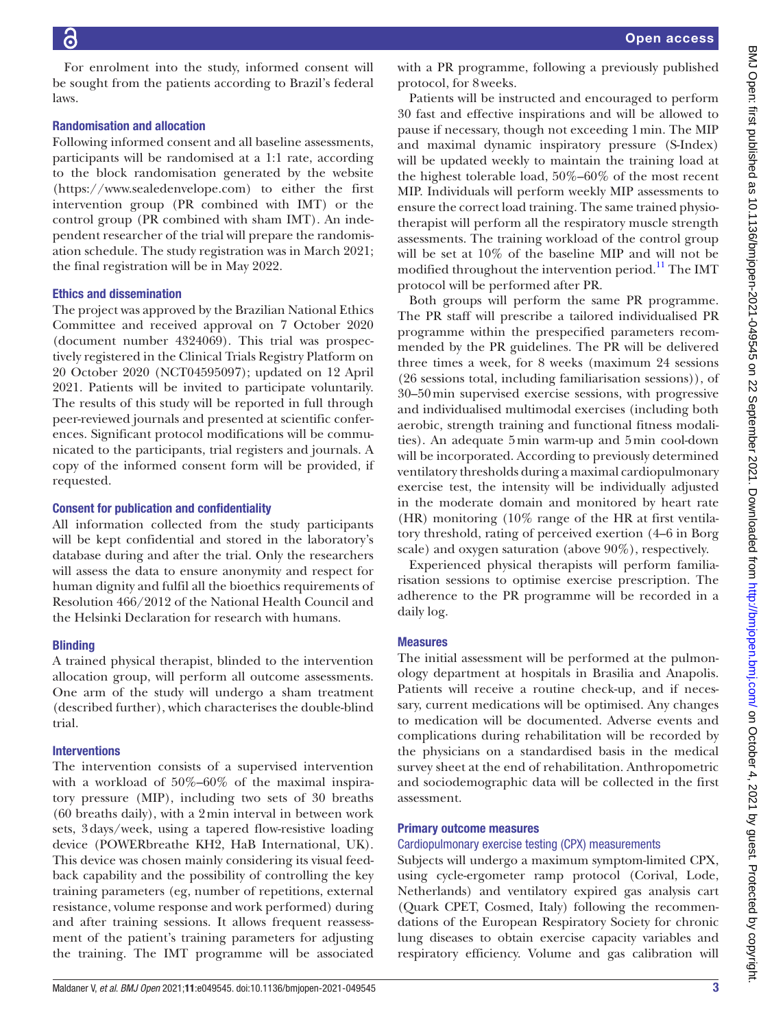For enrolment into the study, informed consent will be sought from the patients according to Brazil's federal laws.

# Randomisation and allocation

Following informed consent and all baseline assessments, participants will be randomised at a 1:1 rate, according to the block randomisation generated by the website ([https://www.sealedenvelope.com\)](https://www.sealedenvelope.com) to either the first intervention group (PR combined with IMT) or the control group (PR combined with sham IMT). An independent researcher of the trial will prepare the randomisation schedule. The study registration was in March 2021; the final registration will be in May 2022.

# Ethics and dissemination

The project was approved by the Brazilian National Ethics Committee and received approval on 7 October 2020 (document number 4324069). This trial was prospectively registered in the Clinical Trials Registry Platform on 20 October 2020 (NCT04595097); updated on 12 April 2021. Patients will be invited to participate voluntarily. The results of this study will be reported in full through peer-reviewed journals and presented at scientific conferences. Significant protocol modifications will be communicated to the participants, trial registers and journals. A copy of the informed consent form will be provided, if requested.

# Consent for publication and confidentiality

All information collected from the study participants will be kept confidential and stored in the laboratory's database during and after the trial. Only the researchers will assess the data to ensure anonymity and respect for human dignity and fulfil all the bioethics requirements of Resolution 466/2012 of the National Health Council and the Helsinki Declaration for research with humans.

# **Blinding**

A trained physical therapist, blinded to the intervention allocation group, will perform all outcome assessments. One arm of the study will undergo a sham treatment (described further), which characterises the double-blind trial.

# **Interventions**

The intervention consists of a supervised intervention with a workload of 50%–60% of the maximal inspiratory pressure (MIP), including two sets of 30 breaths (60 breaths daily), with a 2min interval in between work sets, 3days/week, using a tapered flow-resistive loading device (POWERbreathe KH2, HaB International, UK). This device was chosen mainly considering its visual feedback capability and the possibility of controlling the key training parameters (eg, number of repetitions, external resistance, volume response and work performed) during and after training sessions. It allows frequent reassessment of the patient's training parameters for adjusting the training. The IMT programme will be associated with a PR programme, following a previously published protocol, for 8weeks.

Patients will be instructed and encouraged to perform 30 fast and effective inspirations and will be allowed to pause if necessary, though not exceeding 1min. The MIP and maximal dynamic inspiratory pressure (S-Index) will be updated weekly to maintain the training load at the highest tolerable load, 50%–60% of the most recent MIP. Individuals will perform weekly MIP assessments to ensure the correct load training. The same trained physiotherapist will perform all the respiratory muscle strength assessments. The training workload of the control group will be set at 10% of the baseline MIP and will not be modified throughout the intervention period.<sup>[11](#page-6-4)</sup> The IMT protocol will be performed after PR.

Both groups will perform the same PR programme. The PR staff will prescribe a tailored individualised PR programme within the prespecified parameters recommended by the PR guidelines. The PR will be delivered three times a week, for 8 weeks (maximum 24 sessions (26 sessions total, including familiarisation sessions)), of 30–50min supervised exercise sessions, with progressive and individualised multimodal exercises (including both aerobic, strength training and functional fitness modalities). An adequate 5min warm-up and 5min cool-down will be incorporated. According to previously determined ventilatory thresholds during a maximal cardiopulmonary exercise test, the intensity will be individually adjusted in the moderate domain and monitored by heart rate (HR) monitoring (10% range of the HR at first ventilatory threshold, rating of perceived exertion (4–6 in Borg scale) and oxygen saturation (above 90%), respectively.

Experienced physical therapists will perform familiarisation sessions to optimise exercise prescription. The adherence to the PR programme will be recorded in a daily log.

# **Measures**

The initial assessment will be performed at the pulmonology department at hospitals in Brasilia and Anapolis. Patients will receive a routine check-up, and if necessary, current medications will be optimised. Any changes to medication will be documented. Adverse events and complications during rehabilitation will be recorded by the physicians on a standardised basis in the medical survey sheet at the end of rehabilitation. Anthropometric and sociodemographic data will be collected in the first assessment.

# Primary outcome measures

# Cardiopulmonary exercise testing (CPX) measurements

Subjects will undergo a maximum symptom-limited CPX, using cycle-ergometer ramp protocol (Corival, Lode, Netherlands) and ventilatory expired gas analysis cart (Quark CPET, Cosmed, Italy) following the recommendations of the European Respiratory Society for chronic lung diseases to obtain exercise capacity variables and respiratory efficiency. Volume and gas calibration will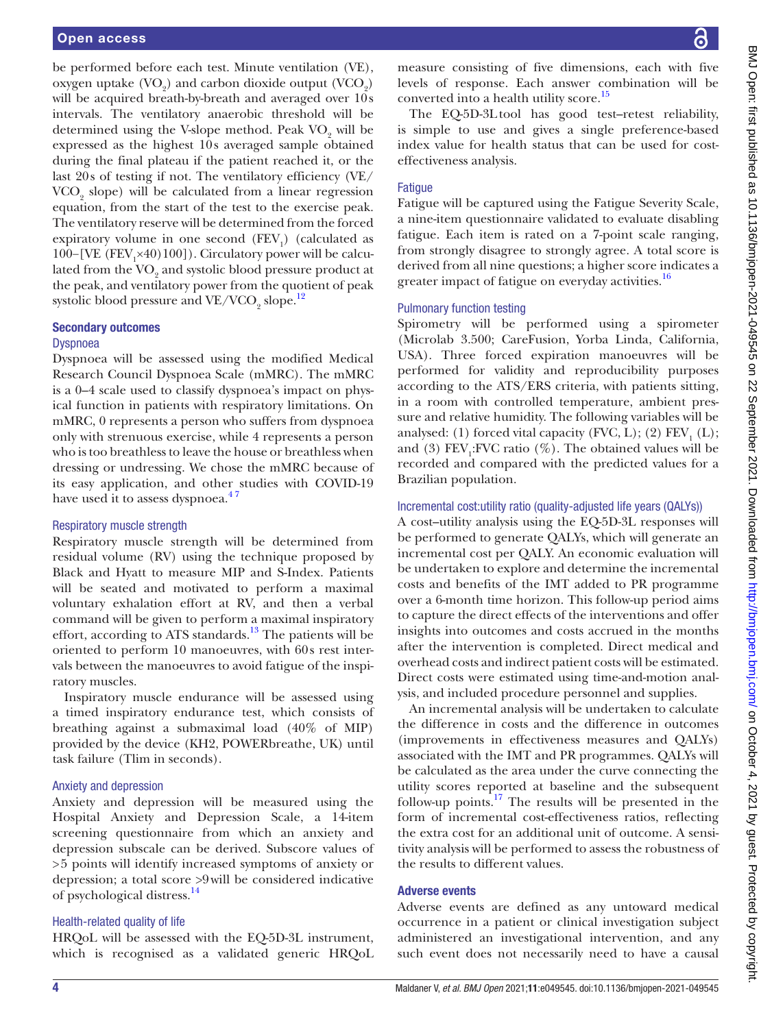be performed before each test. Minute ventilation (VE), oxygen uptake  $(VO_2)$  and carbon dioxide output  $(VCO_2)$ will be acquired breath-by-breath and averaged over 10s intervals. The ventilatory anaerobic threshold will be determined using the V-slope method. Peak  $\mathrm{VO}_2$  will be expressed as the highest 10s averaged sample obtained during the final plateau if the patient reached it, or the last 20s of testing if not. The ventilatory efficiency (VE/ VCO<sub>2</sub> slope) will be calculated from a linear regression equation, from the start of the test to the exercise peak. The ventilatory reserve will be determined from the forced expiratory volume in one second  $(FEV<sub>1</sub>)$  (calculated as 100-[VE (FEV<sub>1</sub>×40)100]). Circulatory power will be calculated from the  $\mathrm{VO}_2$  and systolic blood pressure product at the peak, and ventilatory power from the quotient of peak systolic blood pressure and VE/VCO<sub>2</sub> slope. $^{12}$  $^{12}$  $^{12}$ 

#### Secondary outcomes

#### Dyspnoea

Dyspnoea will be assessed using the modified Medical Research Council Dyspnoea Scale (mMRC). The mMRC is a 0–4 scale used to classify dyspnoea's impact on physical function in patients with respiratory limitations. On mMRC, 0 represents a person who suffers from dyspnoea only with strenuous exercise, while 4 represents a person who is too breathless to leave the house or breathless when dressing or undressing. We chose the mMRC because of its easy application, and other studies with COVID-19 have used it to assess dyspnoea.<sup>47</sup>

#### Respiratory muscle strength

Respiratory muscle strength will be determined from residual volume (RV) using the technique proposed by Black and Hyatt to measure MIP and S-Index. Patients will be seated and motivated to perform a maximal voluntary exhalation effort at RV, and then a verbal command will be given to perform a maximal inspiratory effort, according to ATS standards.<sup>13</sup> The patients will be oriented to perform 10 manoeuvres, with 60s rest intervals between the manoeuvres to avoid fatigue of the inspiratory muscles.

Inspiratory muscle endurance will be assessed using a timed inspiratory endurance test, which consists of breathing against a submaximal load (40% of MIP) provided by the device (KH2, POWERbreathe, UK) until task failure (Tlim in seconds).

#### Anxiety and depression

Anxiety and depression will be measured using the Hospital Anxiety and Depression Scale, a 14-item screening questionnaire from which an anxiety and depression subscale can be derived. Subscore values of >5 points will identify increased symptoms of anxiety or depression; a total score >9will be considered indicative of psychological distress.[14](#page-6-7)

#### Health-related quality of life

HRQoL will be assessed with the EQ-5D-3L instrument, which is recognised as a validated generic HRQoL

measure consisting of five dimensions, each with five levels of response. Each answer combination will be converted into a health utility score.<sup>[15](#page-6-8)</sup>

The EQ-5D-3Ltool has good test–retest reliability, is simple to use and gives a single preference-based index value for health status that can be used for costeffectiveness analysis.

### **Fatique**

Fatigue will be captured using the Fatigue Severity Scale, a nine-item questionnaire validated to evaluate disabling fatigue. Each item is rated on a 7-point scale ranging, from strongly disagree to strongly agree. A total score is derived from all nine questions; a higher score indicates a greater impact of fatigue on everyday activities.<sup>[16](#page-6-9)</sup>

#### Pulmonary function testing

Spirometry will be performed using a spirometer (Microlab 3.500; CareFusion, Yorba Linda, California, USA). Three forced expiration manoeuvres will be performed for validity and reproducibility purposes according to the ATS/ERS criteria, with patients sitting, in a room with controlled temperature, ambient pressure and relative humidity. The following variables will be analysed: (1) forced vital capacity (FVC, L); (2)  $\text{FEV}_1^{\text{}}(L)$ ; and (3)  $\text{FEV}_1$ : FVC ratio (%). The obtained values will be recorded and compared with the predicted values for a Brazilian population.

#### Incremental cost:utility ratio (quality-adjusted life years (QALYs))

A cost–utility analysis using the EQ-5D-3L responses will be performed to generate QALYs, which will generate an incremental cost per QALY. An economic evaluation will be undertaken to explore and determine the incremental costs and benefits of the IMT added to PR programme over a 6-month time horizon. This follow-up period aims to capture the direct effects of the interventions and offer insights into outcomes and costs accrued in the months after the intervention is completed. Direct medical and overhead costs and indirect patient costs will be estimated. Direct costs were estimated using time-and-motion analysis, and included procedure personnel and supplies.

An incremental analysis will be undertaken to calculate the difference in costs and the difference in outcomes (improvements in effectiveness measures and QALYs) associated with the IMT and PR programmes. QALYs will be calculated as the area under the curve connecting the utility scores reported at baseline and the subsequent follow-up points.<sup>17</sup> The results will be presented in the form of incremental cost-effectiveness ratios, reflecting the extra cost for an additional unit of outcome. A sensitivity analysis will be performed to assess the robustness of the results to different values.

#### Adverse events

Adverse events are defined as any untoward medical occurrence in a patient or clinical investigation subject administered an investigational intervention, and any such event does not necessarily need to have a causal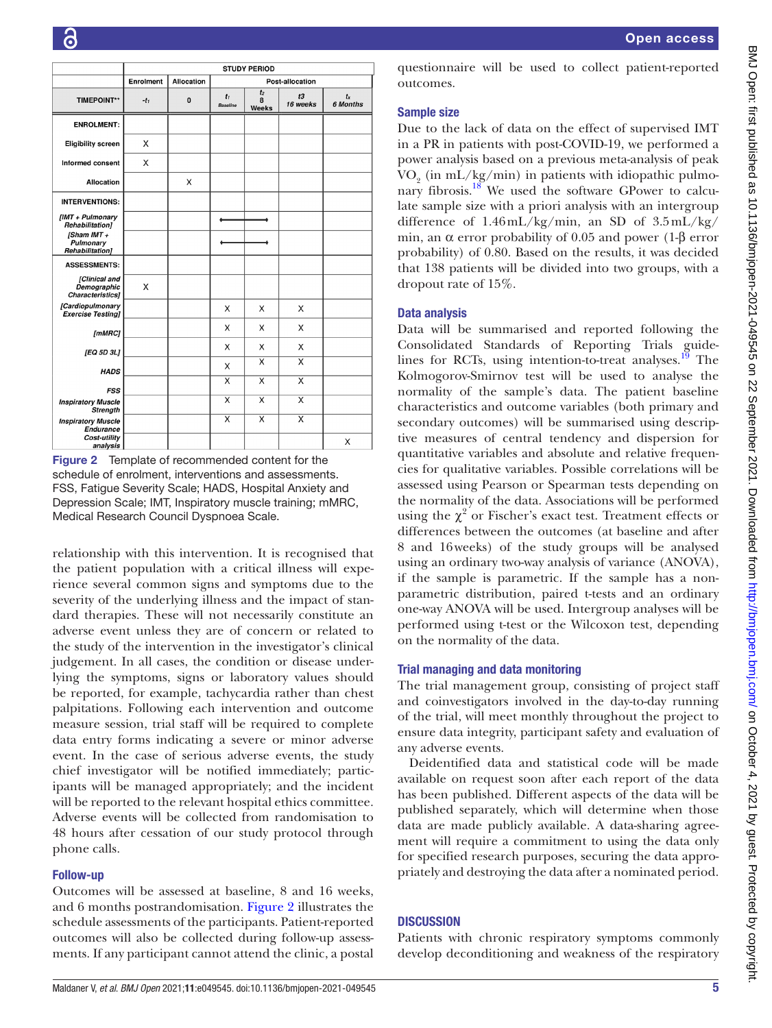|                                                         | <b>STUDY PERIOD</b> |                   |                          |                              |                         |                     |
|---------------------------------------------------------|---------------------|-------------------|--------------------------|------------------------------|-------------------------|---------------------|
|                                                         | Enrolment           | <b>Allocation</b> | Post-allocation          |                              |                         |                     |
| <b>TIMEPOINT**</b>                                      | $-t_1$              | $\bf{0}$          | $t_1$<br><b>Baseline</b> | t <sub>2</sub><br>8<br>Weeks | t3<br>16 weeks          | $t_{x}$<br>6 Months |
| <b>ENROLMENT:</b>                                       |                     |                   |                          |                              |                         |                     |
| <b>Eligibility screen</b>                               | X                   |                   |                          |                              |                         |                     |
| Informed consent                                        | X                   |                   |                          |                              |                         |                     |
| Allocation                                              |                     | X                 |                          |                              |                         |                     |
| <b>INTERVENTIONS:</b>                                   |                     |                   |                          |                              |                         |                     |
| [IMT + Pulmonary<br><b>Rehabilitation1</b>              |                     |                   |                          |                              |                         |                     |
| [Sham IMT+<br>Pulmonary<br><b>Rehabilitation1</b>       |                     |                   |                          |                              |                         |                     |
| <b>ASSESSMENTS:</b>                                     |                     |                   |                          |                              |                         |                     |
| [Clinical and<br>Demographic<br><b>Characteristics1</b> | X                   |                   |                          |                              |                         |                     |
| [Cardiopulmonary<br><b>Exercise Testing]</b>            |                     |                   | X                        | X                            | X                       |                     |
| [mMRC]                                                  |                     |                   | X                        | X                            | X                       |                     |
| [EQ 5D 3L]                                              |                     |                   | X                        | X                            | Χ                       |                     |
| <b>HADS</b>                                             |                     |                   | X                        | X                            | X                       |                     |
| <b>FSS</b>                                              |                     |                   | $\overline{\mathsf{x}}$  | $\overline{\mathsf{x}}$      | $\overline{\mathsf{x}}$ |                     |
| <b>Inspiratory Muscle</b><br><b>Strength</b>            |                     |                   | X                        | X                            | X                       |                     |
| <b>Inspiratory Muscle</b><br>Endurance                  |                     |                   | $\overline{\mathsf{x}}$  | $\overline{\mathsf{x}}$      | $\overline{\mathsf{x}}$ |                     |
| Cost-utility<br>analysis                                |                     |                   |                          |                              |                         | X                   |

<span id="page-4-0"></span>

relationship with this intervention. It is recognised that the patient population with a critical illness will experience several common signs and symptoms due to the severity of the underlying illness and the impact of standard therapies. These will not necessarily constitute an adverse event unless they are of concern or related to the study of the intervention in the investigator's clinical judgement. In all cases, the condition or disease underlying the symptoms, signs or laboratory values should be reported, for example, tachycardia rather than chest palpitations. Following each intervention and outcome measure session, trial staff will be required to complete data entry forms indicating a severe or minor adverse event. In the case of serious adverse events, the study chief investigator will be notified immediately; participants will be managed appropriately; and the incident will be reported to the relevant hospital ethics committee. Adverse events will be collected from randomisation to 48 hours after cessation of our study protocol through phone calls.

#### Follow-up

Outcomes will be assessed at baseline, 8 and 16 weeks, and 6 months postrandomisation. [Figure](#page-4-0) 2 illustrates the schedule assessments of the participants. Patient-reported outcomes will also be collected during follow-up assessments. If any participant cannot attend the clinic, a postal questionnaire will be used to collect patient-reported outcomes.

## Sample size

Due to the lack of data on the effect of supervised IMT in a PR in patients with post-COVID-19, we performed a power analysis based on a previous meta-analysis of peak  $\rm{VO}_2$  (in mL/kg/min) in patients with idiopathic pulmonary fibrosis.<sup>18</sup> We used the software GPower to calculate sample size with a priori analysis with an intergroup difference of 1.46mL/kg/min, an SD of 3.5mL/kg/ min, an  $\alpha$  error probability of 0.05 and power (1- $\beta$  error probability) of 0.80. Based on the results, it was decided that 138 patients will be divided into two groups, with a dropout rate of 15%.

# Data analysis

Data will be summarised and reported following the Consolidated Standards of Reporting Trials guidelines for RCTs, using intention-to-treat analyses.<sup>19</sup> The Kolmogorov-Smirnov test will be used to analyse the normality of the sample's data. The patient baseline characteristics and outcome variables (both primary and secondary outcomes) will be summarised using descriptive measures of central tendency and dispersion for quantitative variables and absolute and relative frequencies for qualitative variables. Possible correlations will be assessed using Pearson or Spearman tests depending on the normality of the data. Associations will be performed using the  $\chi^2$  or Fischer's exact test. Treatment effects or differences between the outcomes (at baseline and after 8 and 16weeks) of the study groups will be analysed using an ordinary two-way analysis of variance (ANOVA), if the sample is parametric. If the sample has a nonparametric distribution, paired t-tests and an ordinary one-way ANOVA will be used. Intergroup analyses will be performed using t-test or the Wilcoxon test, depending on the normality of the data.

# Trial managing and data monitoring

The trial management group, consisting of project staff and coinvestigators involved in the day-to-day running of the trial, will meet monthly throughout the project to ensure data integrity, participant safety and evaluation of any adverse events.

Deidentified data and statistical code will be made available on request soon after each report of the data has been published. Different aspects of the data will be published separately, which will determine when those data are made publicly available. A data-sharing agreement will require a commitment to using the data only for specified research purposes, securing the data appropriately and destroying the data after a nominated period.

# **DISCUSSION**

Patients with chronic respiratory symptoms commonly develop deconditioning and weakness of the respiratory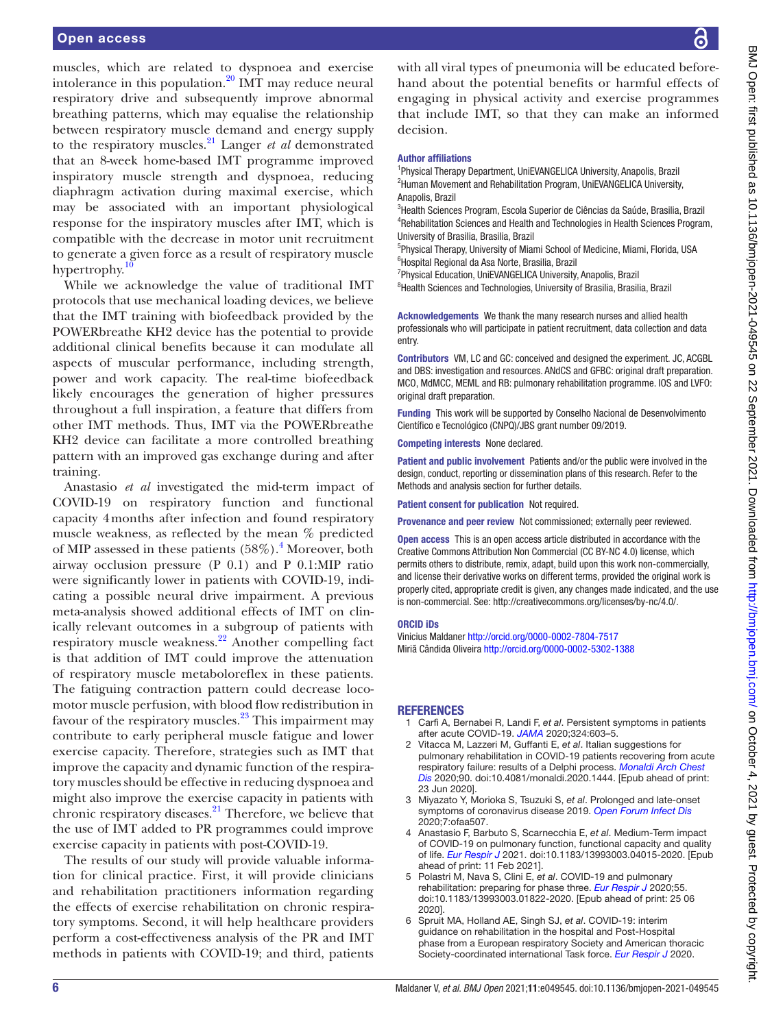muscles, which are related to dyspnoea and exercise intolerance in this population. $^{20}$  $^{20}$  $^{20}$  IMT may reduce neural respiratory drive and subsequently improve abnormal breathing patterns, which may equalise the relationship between respiratory muscle demand and energy supply to the respiratory muscles.[21](#page-6-14) Langer *et al* demonstrated that an 8-week home-based IMT programme improved inspiratory muscle strength and dyspnoea, reducing diaphragm activation during maximal exercise, which may be associated with an important physiological response for the inspiratory muscles after IMT, which is compatible with the decrease in motor unit recruitment to generate a given force as a result of respiratory muscle hypertrophy.

While we acknowledge the value of traditional IMT protocols that use mechanical loading devices, we believe that the IMT training with biofeedback provided by the POWERbreathe KH2 device has the potential to provide additional clinical benefits because it can modulate all aspects of muscular performance, including strength, power and work capacity. The real-time biofeedback likely encourages the generation of higher pressures throughout a full inspiration, a feature that differs from other IMT methods. Thus, IMT via the POWERbreathe KH2 device can facilitate a more controlled breathing pattern with an improved gas exchange during and after training.

Anastasio *et al* investigated the mid-term impact of COVID-19 on respiratory function and functional capacity 4months after infection and found respiratory muscle weakness, as reflected by the mean % predicted of MIP assessed in these patients (58%).<sup>[4](#page-5-3)</sup> Moreover, both airway occlusion pressure (P 0.1) and P 0.1:MIP ratio were significantly lower in patients with COVID-19, indicating a possible neural drive impairment. A previous meta-analysis showed additional effects of IMT on clinically relevant outcomes in a subgroup of patients with respiratory muscle weakness[.22](#page-6-15) Another compelling fact is that addition of IMT could improve the attenuation of respiratory muscle metaboloreflex in these patients. The fatiguing contraction pattern could decrease locomotor muscle perfusion, with blood flow redistribution in favour of the respiratory muscles. $^{23}$  This impairment may contribute to early peripheral muscle fatigue and lower exercise capacity. Therefore, strategies such as IMT that improve the capacity and dynamic function of the respiratory muscles should be effective in reducing dyspnoea and might also improve the exercise capacity in patients with chronic respiratory diseases. $^{21}$  Therefore, we believe that the use of IMT added to PR programmes could improve exercise capacity in patients with post-COVID-19.

The results of our study will provide valuable information for clinical practice. First, it will provide clinicians and rehabilitation practitioners information regarding the effects of exercise rehabilitation on chronic respiratory symptoms. Second, it will help healthcare providers perform a cost-effectiveness analysis of the PR and IMT methods in patients with COVID-19; and third, patients

with all viral types of pneumonia will be educated beforehand about the potential benefits or harmful effects of engaging in physical activity and exercise programmes that include IMT, so that they can make an informed decision.

#### Author affiliations

<sup>1</sup>Physical Therapy Department, UniEVANGELICA University, Anapolis, Brazil <sup>2</sup>Human Movement and Rehabilitation Program, UniEVANGELICA University, Anapolis, Brazil

<sup>3</sup>Health Sciences Program, Escola Superior de Ciências da Saúde, Brasilia, Brazil 4 Rehabilitation Sciences and Health and Technologies in Health Sciences Program, University of Brasilia, Brasilia, Brazil

<sup>5</sup>Physical Therapy, University of Miami School of Medicine, Miami, Florida, USA 6 Hospital Regional da Asa Norte, Brasilia, Brazil

<sup>7</sup>Physical Education, UniEVANGELICA University, Anapolis, Brazil

<sup>8</sup>Health Sciences and Technologies, University of Brasilia, Brasilia, Brazil

Acknowledgements We thank the many research nurses and allied health professionals who will participate in patient recruitment, data collection and data entry.

Contributors VM, LC and GC: conceived and designed the experiment. JC, ACGBL and DBS: investigation and resources. ANdCS and GFBC: original draft preparation. MCO, MdMCC, MEML and RB: pulmonary rehabilitation programme. IOS and LVFO: original draft preparation.

Funding This work will be supported by Conselho Nacional de Desenvolvimento Científico e Tecnológico (CNPQ)/JBS grant number 09/2019.

Competing interests None declared.

Patient and public involvement Patients and/or the public were involved in the design, conduct, reporting or dissemination plans of this research. Refer to the Methods and analysis section for further details.

Patient consent for publication Not required.

Provenance and peer review Not commissioned; externally peer reviewed.

Open access This is an open access article distributed in accordance with the Creative Commons Attribution Non Commercial (CC BY-NC 4.0) license, which permits others to distribute, remix, adapt, build upon this work non-commercially, and license their derivative works on different terms, provided the original work is properly cited, appropriate credit is given, any changes made indicated, and the use is non-commercial. See: [http://creativecommons.org/licenses/by-nc/4.0/.](http://creativecommons.org/licenses/by-nc/4.0/)

#### ORCID iDs

Vinicius Maldaner<http://orcid.org/0000-0002-7804-7517> Miriã Cândida Oliveira <http://orcid.org/0000-0002-5302-1388>

#### <span id="page-5-0"></span>**REFERENCES**

- 1 Carfì A, Bernabei R, Landi F, *et al*. Persistent symptoms in patients after acute COVID-19. *[JAMA](http://dx.doi.org/10.1001/jama.2020.12603)* 2020;324:603–5.
- <span id="page-5-1"></span>2 Vitacca M, Lazzeri M, Guffanti E, *et al*. Italian suggestions for pulmonary rehabilitation in COVID-19 patients recovering from acute respiratory failure: results of a Delphi process. *[Monaldi Arch Chest](http://dx.doi.org/10.4081/monaldi.2020.1444)  [Dis](http://dx.doi.org/10.4081/monaldi.2020.1444)* 2020;90. doi:10.4081/monaldi.2020.1444. [Epub ahead of print: 23 Jun 2020].
- <span id="page-5-2"></span>3 Miyazato Y, Morioka S, Tsuzuki S, *et al*. Prolonged and late-onset symptoms of coronavirus disease 2019. *[Open Forum Infect Dis](http://dx.doi.org/10.1093/ofid/ofaa507)* 2020;7:ofaa507.
- <span id="page-5-3"></span>4 Anastasio F, Barbuto S, Scarnecchia E, *et al*. Medium-Term impact of COVID-19 on pulmonary function, functional capacity and quality of life. *[Eur Respir J](http://dx.doi.org/10.1183/13993003.04015-2020)* 2021. doi:10.1183/13993003.04015-2020. [Epub ahead of print: 11 Feb 2021].
- <span id="page-5-4"></span>5 Polastri M, Nava S, Clini E, *et al*. COVID-19 and pulmonary rehabilitation: preparing for phase three. *[Eur Respir J](http://dx.doi.org/10.1183/13993003.01822-2020)* 2020;55. doi:10.1183/13993003.01822-2020. [Epub ahead of print: 25 06 2020].
- <span id="page-5-5"></span>6 Spruit MA, Holland AE, Singh SJ, *et al*. COVID-19: interim guidance on rehabilitation in the hospital and Post-Hospital phase from a European respiratory Society and American thoracic Society-coordinated international Task force. *[Eur Respir J](http://dx.doi.org/10.1183/13993003.02197-2020)* 2020.